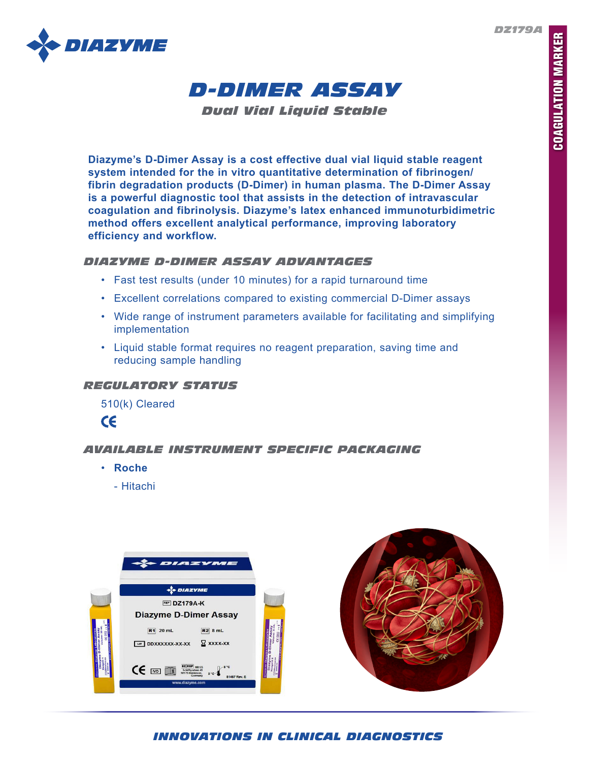*DZ179A*





*Dual Vial Liquid Stable*

**Diazyme's D-Dimer Assay is a cost effective dual vial liquid stable reagent system intended for the in vitro quantitative determination of fibrinogen/ fibrin degradation products (D-Dimer) in human plasma. The D-Dimer Assay is a powerful diagnostic tool that assists in the detection of intravascular coagulation and fibrinolysis. Diazyme's latex enhanced immunoturbidimetric method offers excellent analytical performance, improving laboratory efficiency and workflow.**

## *DIAZYME D-DIMER ASSAY ADVANTAGES*

- Fast test results (under 10 minutes) for a rapid turnaround time
- Excellent correlations compared to existing commercial D-Dimer assays
- Wide range of instrument parameters available for facilitating and simplifying implementation
- Liquid stable format requires no reagent preparation, saving time and reducing sample handling

# *REGULATORY STATUS*

510(k) Cleared



# *AVAILABLE INSTRUMENT SPECIFIC PACKAGING*

- **Roche**
	- Hitachi



# *INNOVATIONS IN CLINICAL DIAGNOSTICS*